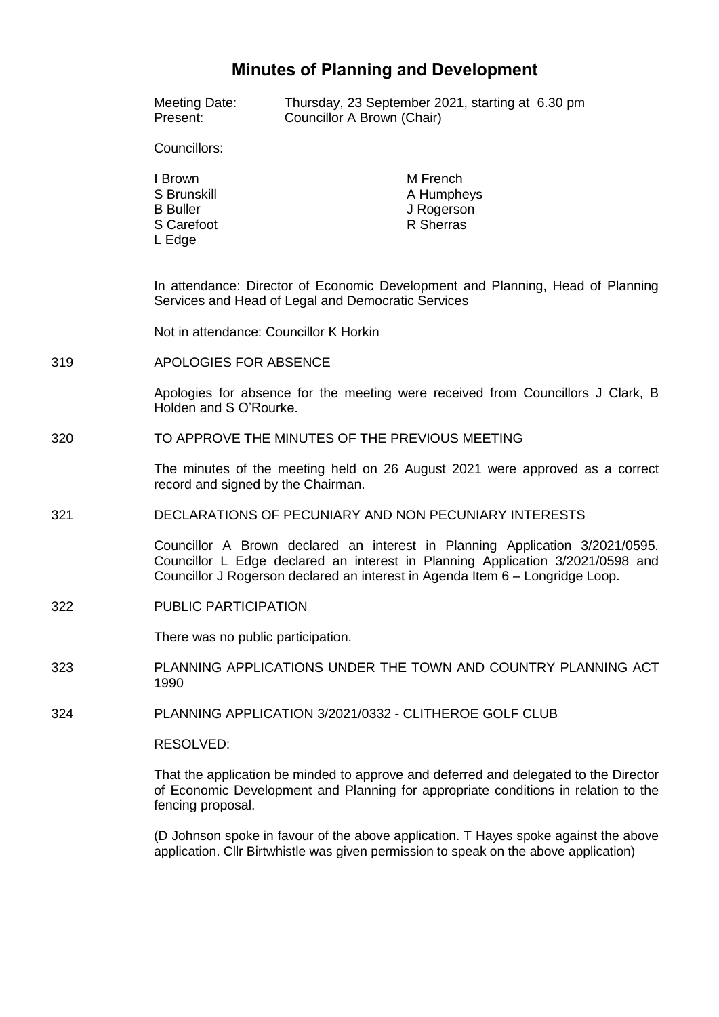# **Minutes of Planning and Development**

Meeting Date: Thursday, 23 September 2021, starting at 6.30 pm<br>Present: Councillor A Brown (Chair) Councillor A Brown (Chair)

Councillors:

I Brown S Brunskill B Buller S Carefoot L Edge

M French A Humpheys J Rogerson R Sherras

In attendance: Director of Economic Development and Planning, Head of Planning Services and Head of Legal and Democratic Services

Not in attendance: Councillor K Horkin

319 APOLOGIES FOR ABSENCE

Apologies for absence for the meeting were received from Councillors J Clark, B Holden and S O'Rourke.

320 TO APPROVE THE MINUTES OF THE PREVIOUS MEETING

The minutes of the meeting held on 26 August 2021 were approved as a correct record and signed by the Chairman.

321 DECLARATIONS OF PECUNIARY AND NON PECUNIARY INTERESTS

Councillor A Brown declared an interest in Planning Application 3/2021/0595. Councillor L Edge declared an interest in Planning Application 3/2021/0598 and Councillor J Rogerson declared an interest in Agenda Item 6 – Longridge Loop.

322 PUBLIC PARTICIPATION

There was no public participation.

- 323 PLANNING APPLICATIONS UNDER THE TOWN AND COUNTRY PLANNING ACT 1990
- 324 PLANNING APPLICATION 3/2021/0332 CLITHEROE GOLF CLUB

RESOLVED:

That the application be minded to approve and deferred and delegated to the Director of Economic Development and Planning for appropriate conditions in relation to the fencing proposal.

(D Johnson spoke in favour of the above application. T Hayes spoke against the above application. Cllr Birtwhistle was given permission to speak on the above application)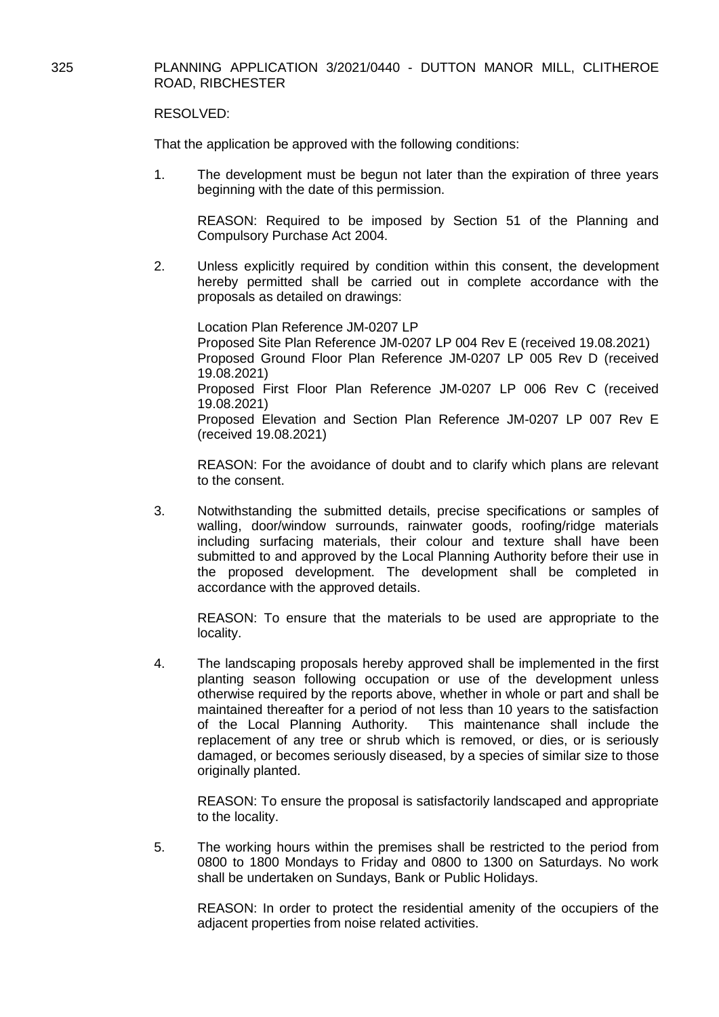# 325 PLANNING APPLICATION 3/2021/0440 - DUTTON MANOR MILL, CLITHEROE ROAD, RIBCHESTER

## RESOLVED:

That the application be approved with the following conditions:

1. The development must be begun not later than the expiration of three years beginning with the date of this permission.

REASON: Required to be imposed by Section 51 of the Planning and Compulsory Purchase Act 2004.

2. Unless explicitly required by condition within this consent, the development hereby permitted shall be carried out in complete accordance with the proposals as detailed on drawings:

Location Plan Reference JM-0207 LP Proposed Site Plan Reference JM-0207 LP 004 Rev E (received 19.08.2021) Proposed Ground Floor Plan Reference JM-0207 LP 005 Rev D (received 19.08.2021) Proposed First Floor Plan Reference JM-0207 LP 006 Rev C (received 19.08.2021) Proposed Elevation and Section Plan Reference JM-0207 LP 007 Rev E (received 19.08.2021)

REASON: For the avoidance of doubt and to clarify which plans are relevant to the consent.

3. Notwithstanding the submitted details, precise specifications or samples of walling, door/window surrounds, rainwater goods, roofing/ridge materials including surfacing materials, their colour and texture shall have been submitted to and approved by the Local Planning Authority before their use in the proposed development. The development shall be completed in accordance with the approved details.

REASON: To ensure that the materials to be used are appropriate to the locality.

4. The landscaping proposals hereby approved shall be implemented in the first planting season following occupation or use of the development unless otherwise required by the reports above, whether in whole or part and shall be maintained thereafter for a period of not less than 10 years to the satisfaction of the Local Planning Authority. This maintenance shall include the replacement of any tree or shrub which is removed, or dies, or is seriously damaged, or becomes seriously diseased, by a species of similar size to those originally planted.

REASON: To ensure the proposal is satisfactorily landscaped and appropriate to the locality.

5. The working hours within the premises shall be restricted to the period from 0800 to 1800 Mondays to Friday and 0800 to 1300 on Saturdays. No work shall be undertaken on Sundays, Bank or Public Holidays.

REASON: In order to protect the residential amenity of the occupiers of the adjacent properties from noise related activities.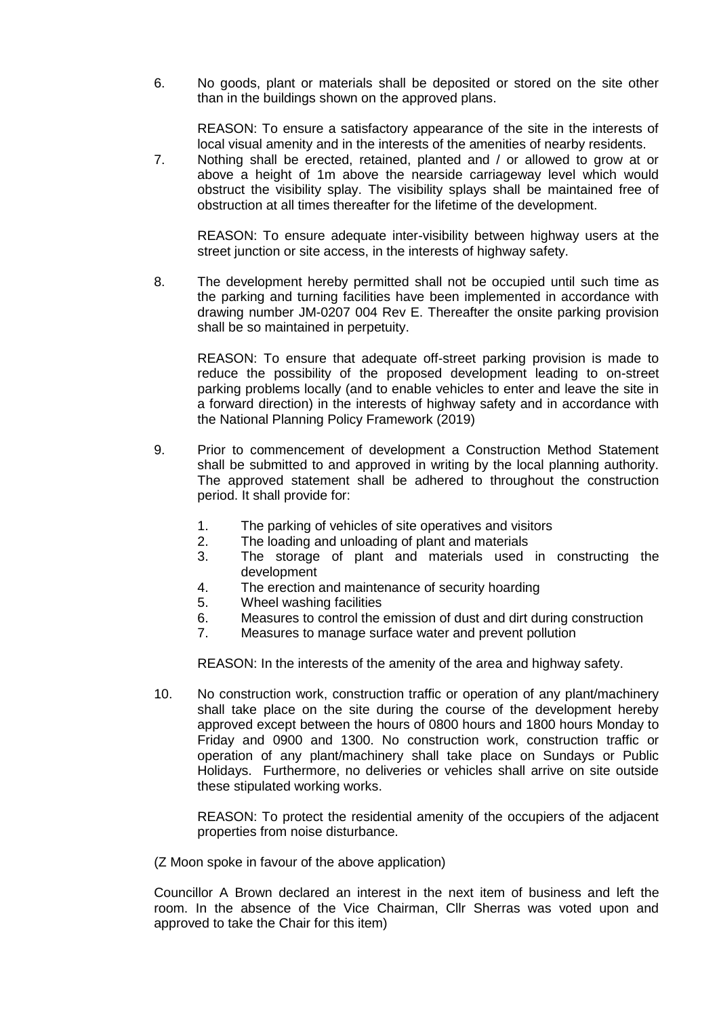6. No goods, plant or materials shall be deposited or stored on the site other than in the buildings shown on the approved plans.

REASON: To ensure a satisfactory appearance of the site in the interests of local visual amenity and in the interests of the amenities of nearby residents.

7. Nothing shall be erected, retained, planted and / or allowed to grow at or above a height of 1m above the nearside carriageway level which would obstruct the visibility splay. The visibility splays shall be maintained free of obstruction at all times thereafter for the lifetime of the development.

REASON: To ensure adequate inter-visibility between highway users at the street junction or site access, in the interests of highway safety.

8. The development hereby permitted shall not be occupied until such time as the parking and turning facilities have been implemented in accordance with drawing number JM-0207 004 Rev E. Thereafter the onsite parking provision shall be so maintained in perpetuity.

REASON: To ensure that adequate off-street parking provision is made to reduce the possibility of the proposed development leading to on-street parking problems locally (and to enable vehicles to enter and leave the site in a forward direction) in the interests of highway safety and in accordance with the National Planning Policy Framework (2019)

- 9. Prior to commencement of development a Construction Method Statement shall be submitted to and approved in writing by the local planning authority. The approved statement shall be adhered to throughout the construction period. It shall provide for:
	- 1. The parking of vehicles of site operatives and visitors
	- 2. The loading and unloading of plant and materials
	- 3. The storage of plant and materials used in constructing the development
	- 4. The erection and maintenance of security hoarding
	- 5. Wheel washing facilities
	- 6. Measures to control the emission of dust and dirt during construction
	- 7. Measures to manage surface water and prevent pollution

REASON: In the interests of the amenity of the area and highway safety.

10. No construction work, construction traffic or operation of any plant/machinery shall take place on the site during the course of the development hereby approved except between the hours of 0800 hours and 1800 hours Monday to Friday and 0900 and 1300. No construction work, construction traffic or operation of any plant/machinery shall take place on Sundays or Public Holidays. Furthermore, no deliveries or vehicles shall arrive on site outside these stipulated working works.

REASON: To protect the residential amenity of the occupiers of the adjacent properties from noise disturbance.

(Z Moon spoke in favour of the above application)

Councillor A Brown declared an interest in the next item of business and left the room. In the absence of the Vice Chairman, Cllr Sherras was voted upon and approved to take the Chair for this item)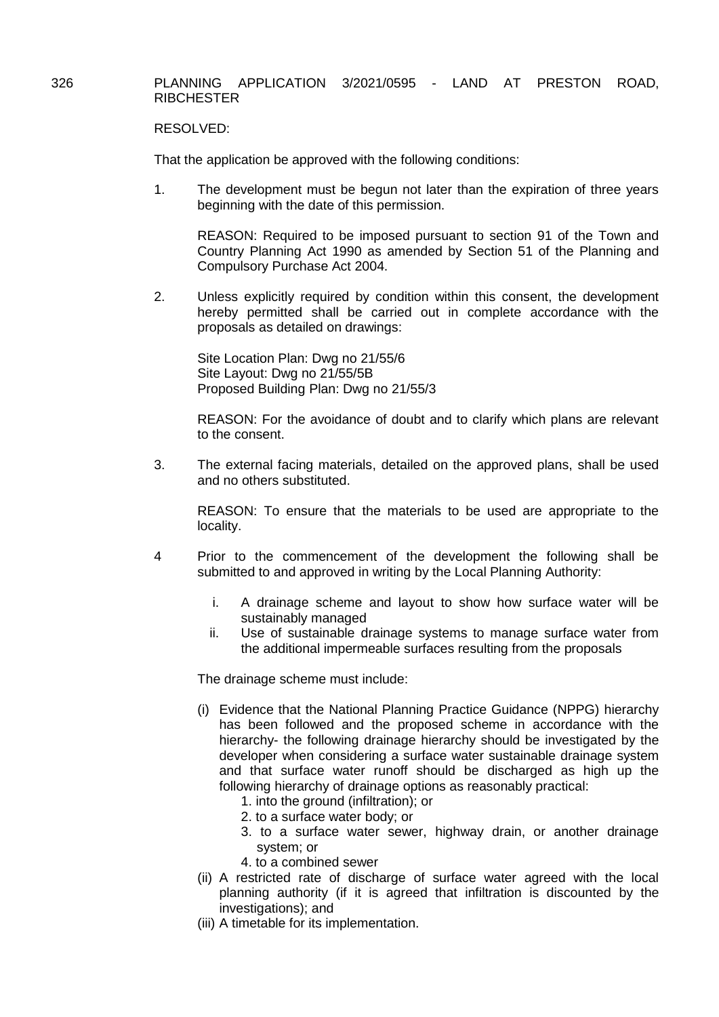## 326 PLANNING APPLICATION 3/2021/0595 - LAND AT PRESTON ROAD, **RIBCHESTER**

## RESOLVED:

That the application be approved with the following conditions:

1. The development must be begun not later than the expiration of three years beginning with the date of this permission.

 REASON: Required to be imposed pursuant to section 91 of the Town and Country Planning Act 1990 as amended by Section 51 of the Planning and Compulsory Purchase Act 2004.

2. Unless explicitly required by condition within this consent, the development hereby permitted shall be carried out in complete accordance with the proposals as detailed on drawings:

Site Location Plan: Dwg no 21/55/6 Site Layout: Dwg no 21/55/5B Proposed Building Plan: Dwg no 21/55/3

REASON: For the avoidance of doubt and to clarify which plans are relevant to the consent.

3. The external facing materials, detailed on the approved plans, shall be used and no others substituted.

REASON: To ensure that the materials to be used are appropriate to the locality.

- 4 Prior to the commencement of the development the following shall be submitted to and approved in writing by the Local Planning Authority:
	- i. A drainage scheme and layout to show how surface water will be sustainably managed
	- ii. Use of sustainable drainage systems to manage surface water from the additional impermeable surfaces resulting from the proposals

The drainage scheme must include:

- (i) Evidence that the National Planning Practice Guidance (NPPG) hierarchy has been followed and the proposed scheme in accordance with the hierarchy- the following drainage hierarchy should be investigated by the developer when considering a surface water sustainable drainage system and that surface water runoff should be discharged as high up the following hierarchy of drainage options as reasonably practical:
	- 1. into the ground (infiltration); or
	- 2. to a surface water body; or
	- 3. to a surface water sewer, highway drain, or another drainage system; or
	- 4. to a combined sewer
- (ii) A restricted rate of discharge of surface water agreed with the local planning authority (if it is agreed that infiltration is discounted by the investigations); and
- (iii) A timetable for its implementation.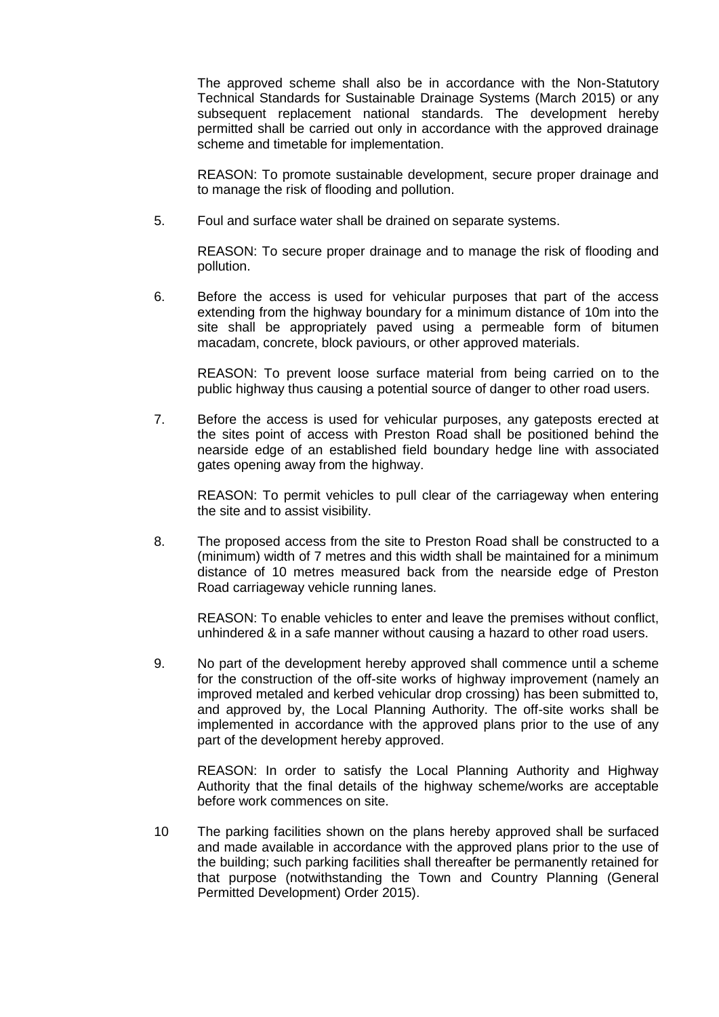The approved scheme shall also be in accordance with the Non-Statutory Technical Standards for Sustainable Drainage Systems (March 2015) or any subsequent replacement national standards. The development hereby permitted shall be carried out only in accordance with the approved drainage scheme and timetable for implementation.

REASON: To promote sustainable development, secure proper drainage and to manage the risk of flooding and pollution.

5. Foul and surface water shall be drained on separate systems.

REASON: To secure proper drainage and to manage the risk of flooding and pollution.

6. Before the access is used for vehicular purposes that part of the access extending from the highway boundary for a minimum distance of 10m into the site shall be appropriately paved using a permeable form of bitumen macadam, concrete, block paviours, or other approved materials.

REASON: To prevent loose surface material from being carried on to the public highway thus causing a potential source of danger to other road users.

7. Before the access is used for vehicular purposes, any gateposts erected at the sites point of access with Preston Road shall be positioned behind the nearside edge of an established field boundary hedge line with associated gates opening away from the highway.

REASON: To permit vehicles to pull clear of the carriageway when entering the site and to assist visibility.

8. The proposed access from the site to Preston Road shall be constructed to a (minimum) width of 7 metres and this width shall be maintained for a minimum distance of 10 metres measured back from the nearside edge of Preston Road carriageway vehicle running lanes.

REASON: To enable vehicles to enter and leave the premises without conflict, unhindered & in a safe manner without causing a hazard to other road users.

9. No part of the development hereby approved shall commence until a scheme for the construction of the off-site works of highway improvement (namely an improved metaled and kerbed vehicular drop crossing) has been submitted to, and approved by, the Local Planning Authority. The off-site works shall be implemented in accordance with the approved plans prior to the use of any part of the development hereby approved.

REASON: In order to satisfy the Local Planning Authority and Highway Authority that the final details of the highway scheme/works are acceptable before work commences on site.

10 The parking facilities shown on the plans hereby approved shall be surfaced and made available in accordance with the approved plans prior to the use of the building; such parking facilities shall thereafter be permanently retained for that purpose (notwithstanding the Town and Country Planning (General Permitted Development) Order 2015).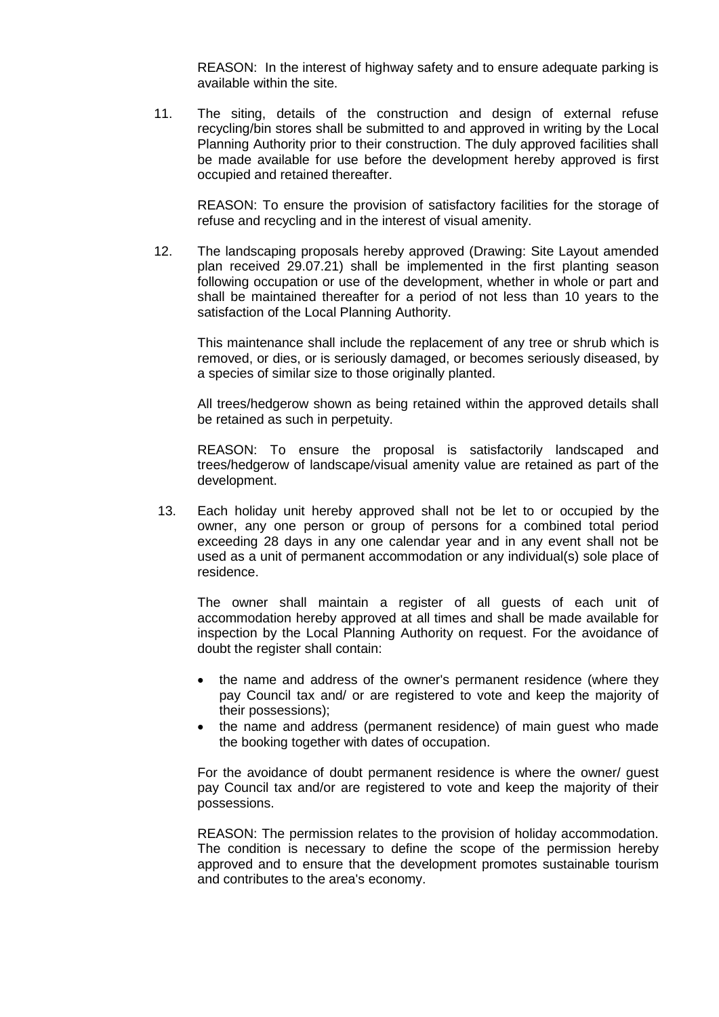REASON: In the interest of highway safety and to ensure adequate parking is available within the site.

11. The siting, details of the construction and design of external refuse recycling/bin stores shall be submitted to and approved in writing by the Local Planning Authority prior to their construction. The duly approved facilities shall be made available for use before the development hereby approved is first occupied and retained thereafter.

REASON: To ensure the provision of satisfactory facilities for the storage of refuse and recycling and in the interest of visual amenity.

12. The landscaping proposals hereby approved (Drawing: Site Layout amended plan received 29.07.21) shall be implemented in the first planting season following occupation or use of the development, whether in whole or part and shall be maintained thereafter for a period of not less than 10 years to the satisfaction of the Local Planning Authority.

This maintenance shall include the replacement of any tree or shrub which is removed, or dies, or is seriously damaged, or becomes seriously diseased, by a species of similar size to those originally planted.

All trees/hedgerow shown as being retained within the approved details shall be retained as such in perpetuity.

REASON: To ensure the proposal is satisfactorily landscaped and trees/hedgerow of landscape/visual amenity value are retained as part of the development.

13. Each holiday unit hereby approved shall not be let to or occupied by the owner, any one person or group of persons for a combined total period exceeding 28 days in any one calendar year and in any event shall not be used as a unit of permanent accommodation or any individual(s) sole place of residence.

The owner shall maintain a register of all guests of each unit of accommodation hereby approved at all times and shall be made available for inspection by the Local Planning Authority on request. For the avoidance of doubt the register shall contain:

- the name and address of the owner's permanent residence (where they pay Council tax and/ or are registered to vote and keep the majority of their possessions);
- the name and address (permanent residence) of main guest who made the booking together with dates of occupation.

For the avoidance of doubt permanent residence is where the owner/ guest pay Council tax and/or are registered to vote and keep the majority of their possessions.

REASON: The permission relates to the provision of holiday accommodation. The condition is necessary to define the scope of the permission hereby approved and to ensure that the development promotes sustainable tourism and contributes to the area's economy.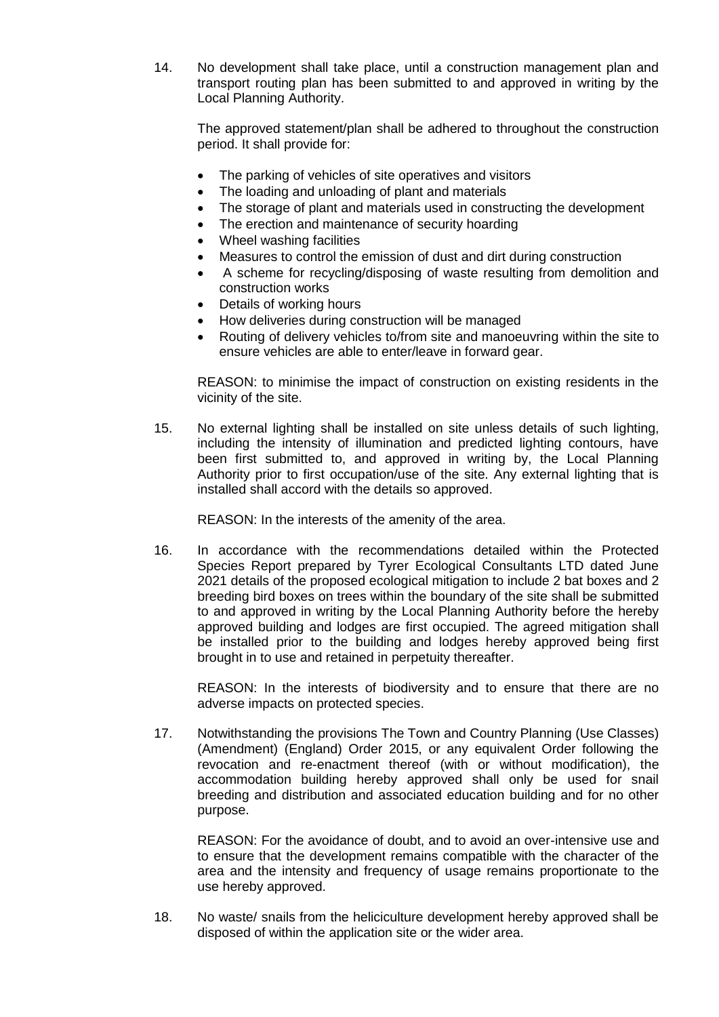14. No development shall take place, until a construction management plan and transport routing plan has been submitted to and approved in writing by the Local Planning Authority.

The approved statement/plan shall be adhered to throughout the construction period. It shall provide for:

- The parking of vehicles of site operatives and visitors
- The loading and unloading of plant and materials
- The storage of plant and materials used in constructing the development
- The erection and maintenance of security hoarding
- Wheel washing facilities
- Measures to control the emission of dust and dirt during construction
- A scheme for recycling/disposing of waste resulting from demolition and construction works
- Details of working hours
- How deliveries during construction will be managed
- Routing of delivery vehicles to/from site and manoeuvring within the site to ensure vehicles are able to enter/leave in forward gear.

REASON: to minimise the impact of construction on existing residents in the vicinity of the site.

15. No external lighting shall be installed on site unless details of such lighting, including the intensity of illumination and predicted lighting contours, have been first submitted to, and approved in writing by, the Local Planning Authority prior to first occupation/use of the site. Any external lighting that is installed shall accord with the details so approved.

REASON: In the interests of the amenity of the area.

16. In accordance with the recommendations detailed within the Protected Species Report prepared by Tyrer Ecological Consultants LTD dated June 2021 details of the proposed ecological mitigation to include 2 bat boxes and 2 breeding bird boxes on trees within the boundary of the site shall be submitted to and approved in writing by the Local Planning Authority before the hereby approved building and lodges are first occupied. The agreed mitigation shall be installed prior to the building and lodges hereby approved being first brought in to use and retained in perpetuity thereafter.

REASON: In the interests of biodiversity and to ensure that there are no adverse impacts on protected species.

17. Notwithstanding the provisions The Town and Country Planning (Use Classes) (Amendment) (England) Order 2015, or any equivalent Order following the revocation and re-enactment thereof (with or without modification), the accommodation building hereby approved shall only be used for snail breeding and distribution and associated education building and for no other purpose.

REASON: For the avoidance of doubt, and to avoid an over-intensive use and to ensure that the development remains compatible with the character of the area and the intensity and frequency of usage remains proportionate to the use hereby approved.

18. No waste/ snails from the heliciculture development hereby approved shall be disposed of within the application site or the wider area.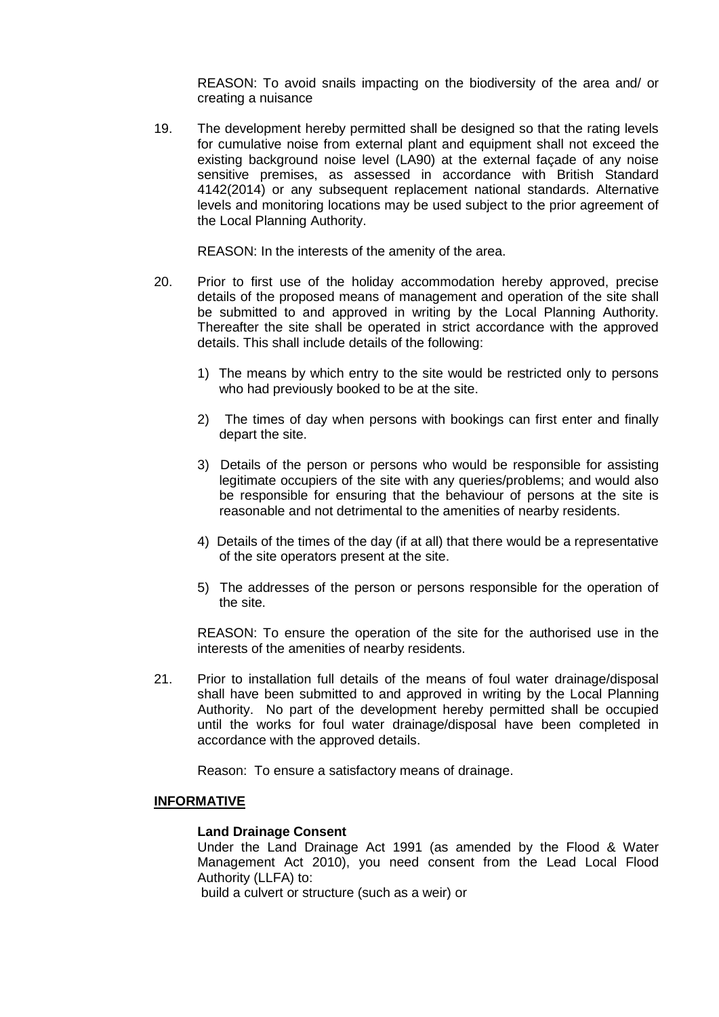REASON: To avoid snails impacting on the biodiversity of the area and/ or creating a nuisance

19. The development hereby permitted shall be designed so that the rating levels for cumulative noise from external plant and equipment shall not exceed the existing background noise level (LA90) at the external façade of any noise sensitive premises, as assessed in accordance with British Standard 4142(2014) or any subsequent replacement national standards. Alternative levels and monitoring locations may be used subject to the prior agreement of the Local Planning Authority.

REASON: In the interests of the amenity of the area.

- 20. Prior to first use of the holiday accommodation hereby approved, precise details of the proposed means of management and operation of the site shall be submitted to and approved in writing by the Local Planning Authority. Thereafter the site shall be operated in strict accordance with the approved details. This shall include details of the following:
	- 1) The means by which entry to the site would be restricted only to persons who had previously booked to be at the site.
	- 2) The times of day when persons with bookings can first enter and finally depart the site.
	- 3) Details of the person or persons who would be responsible for assisting legitimate occupiers of the site with any queries/problems; and would also be responsible for ensuring that the behaviour of persons at the site is reasonable and not detrimental to the amenities of nearby residents.
	- 4) Details of the times of the day (if at all) that there would be a representative of the site operators present at the site.
	- 5) The addresses of the person or persons responsible for the operation of the site.

 REASON: To ensure the operation of the site for the authorised use in the interests of the amenities of nearby residents.

21. Prior to installation full details of the means of foul water drainage/disposal shall have been submitted to and approved in writing by the Local Planning Authority. No part of the development hereby permitted shall be occupied until the works for foul water drainage/disposal have been completed in accordance with the approved details.

Reason: To ensure a satisfactory means of drainage.

# **INFORMATIVE**

#### **Land Drainage Consent**

Under the Land Drainage Act 1991 (as amended by the Flood & Water Management Act 2010), you need consent from the Lead Local Flood Authority (LLFA) to:

build a culvert or structure (such as a weir) or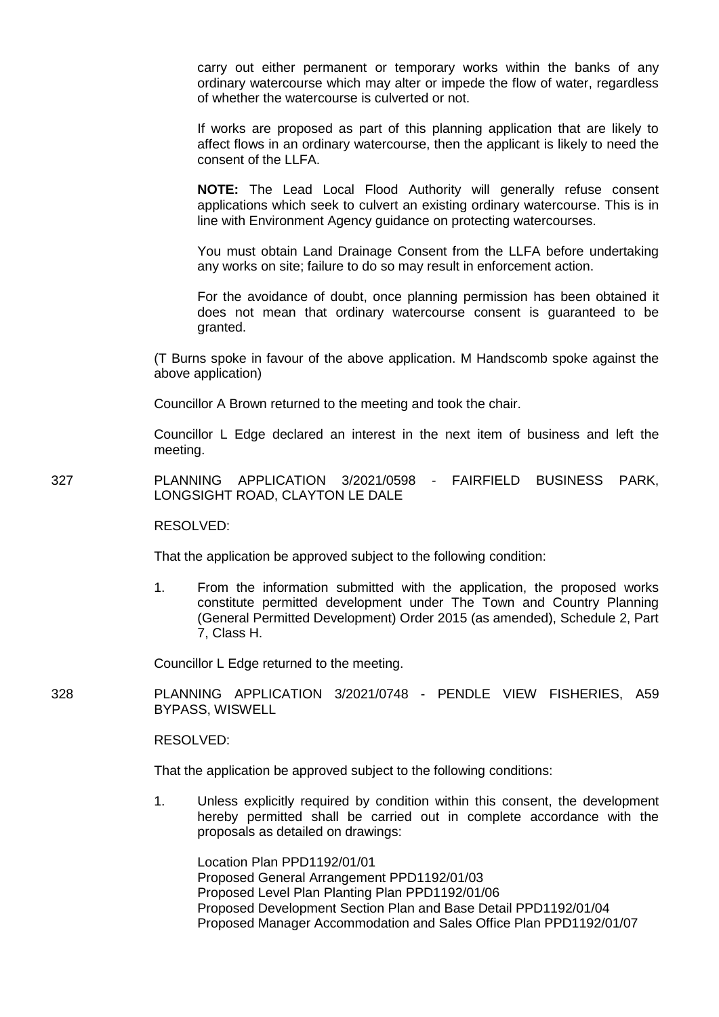carry out either permanent or temporary works within the banks of any ordinary watercourse which may alter or impede the flow of water, regardless of whether the watercourse is culverted or not.

If works are proposed as part of this planning application that are likely to affect flows in an ordinary watercourse, then the applicant is likely to need the consent of the LLFA.

**NOTE:** The Lead Local Flood Authority will generally refuse consent applications which seek to culvert an existing ordinary watercourse. This is in line with Environment Agency guidance on protecting watercourses.

You must obtain Land Drainage Consent from the LLFA before undertaking any works on site; failure to do so may result in enforcement action.

For the avoidance of doubt, once planning permission has been obtained it does not mean that ordinary watercourse consent is guaranteed to be granted.

(T Burns spoke in favour of the above application. M Handscomb spoke against the above application)

Councillor A Brown returned to the meeting and took the chair.

Councillor L Edge declared an interest in the next item of business and left the meeting.

327 PLANNING APPLICATION 3/2021/0598 - FAIRFIELD BUSINESS PARK, LONGSIGHT ROAD, CLAYTON LE DALE

RESOLVED:

That the application be approved subject to the following condition:

1. From the information submitted with the application, the proposed works constitute permitted development under The Town and Country Planning (General Permitted Development) Order 2015 (as amended), Schedule 2, Part 7, Class H.

Councillor L Edge returned to the meeting.

328 PLANNING APPLICATION 3/2021/0748 - PENDLE VIEW FISHERIES, A59 BYPASS, WISWELL

RESOLVED:

That the application be approved subject to the following conditions:

1. Unless explicitly required by condition within this consent, the development hereby permitted shall be carried out in complete accordance with the proposals as detailed on drawings:

Location Plan PPD1192/01/01 Proposed General Arrangement PPD1192/01/03 Proposed Level Plan Planting Plan PPD1192/01/06 Proposed Development Section Plan and Base Detail PPD1192/01/04 Proposed Manager Accommodation and Sales Office Plan PPD1192/01/07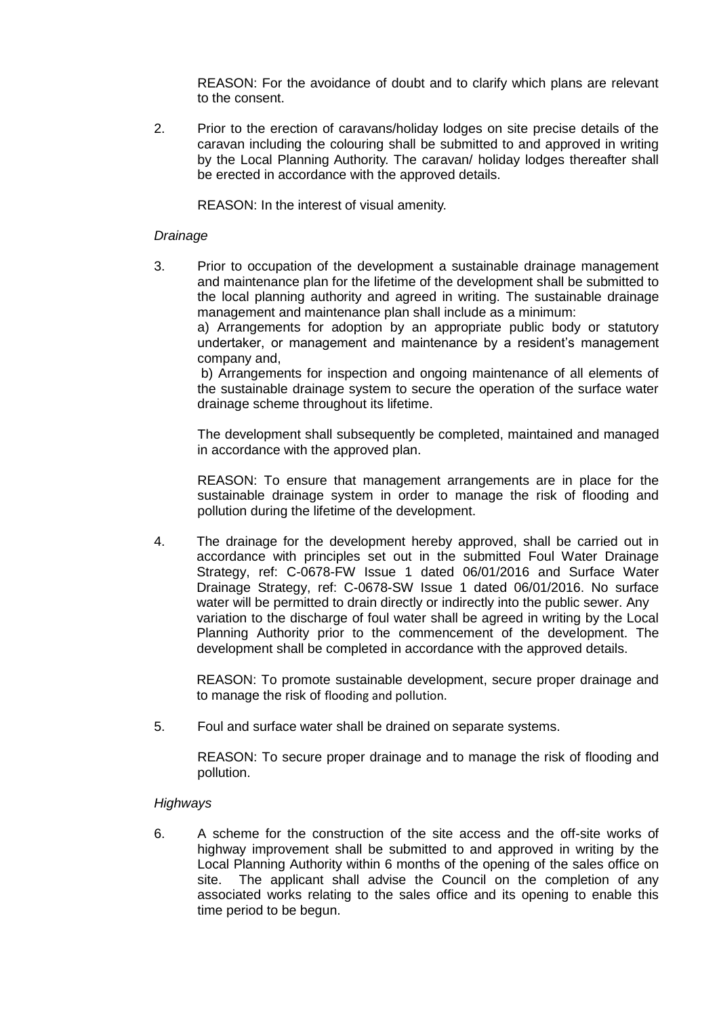REASON: For the avoidance of doubt and to clarify which plans are relevant to the consent.

2. Prior to the erection of caravans/holiday lodges on site precise details of the caravan including the colouring shall be submitted to and approved in writing by the Local Planning Authority. The caravan/ holiday lodges thereafter shall be erected in accordance with the approved details.

REASON: In the interest of visual amenity.

# *Drainage*

3. Prior to occupation of the development a sustainable drainage management and maintenance plan for the lifetime of the development shall be submitted to the local planning authority and agreed in writing. The sustainable drainage management and maintenance plan shall include as a minimum:

a) Arrangements for adoption by an appropriate public body or statutory undertaker, or management and maintenance by a resident's management company and,

b) Arrangements for inspection and ongoing maintenance of all elements of the sustainable drainage system to secure the operation of the surface water drainage scheme throughout its lifetime.

The development shall subsequently be completed, maintained and managed in accordance with the approved plan.

REASON: To ensure that management arrangements are in place for the sustainable drainage system in order to manage the risk of flooding and pollution during the lifetime of the development.

4. The drainage for the development hereby approved, shall be carried out in accordance with principles set out in the submitted Foul Water Drainage Strategy, ref: C-0678-FW Issue 1 dated 06/01/2016 and Surface Water Drainage Strategy, ref: C-0678-SW Issue 1 dated 06/01/2016. No surface water will be permitted to drain directly or indirectly into the public sewer. Any variation to the discharge of foul water shall be agreed in writing by the Local Planning Authority prior to the commencement of the development. The development shall be completed in accordance with the approved details.

REASON: To promote sustainable development, secure proper drainage and to manage the risk of flooding and pollution.

5. Foul and surface water shall be drained on separate systems.

REASON: To secure proper drainage and to manage the risk of flooding and pollution.

## *Highways*

6. A scheme for the construction of the site access and the off-site works of highway improvement shall be submitted to and approved in writing by the Local Planning Authority within 6 months of the opening of the sales office on site. The applicant shall advise the Council on the completion of any associated works relating to the sales office and its opening to enable this time period to be begun.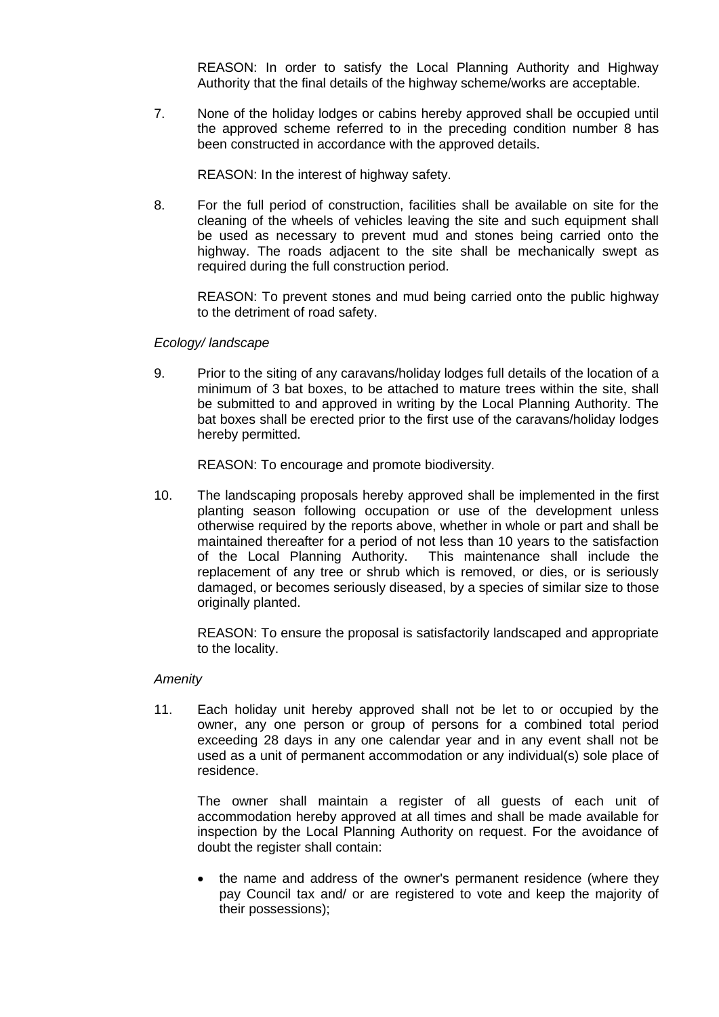REASON: In order to satisfy the Local Planning Authority and Highway Authority that the final details of the highway scheme/works are acceptable.

7. None of the holiday lodges or cabins hereby approved shall be occupied until the approved scheme referred to in the preceding condition number 8 has been constructed in accordance with the approved details.

REASON: In the interest of highway safety.

8. For the full period of construction, facilities shall be available on site for the cleaning of the wheels of vehicles leaving the site and such equipment shall be used as necessary to prevent mud and stones being carried onto the highway. The roads adjacent to the site shall be mechanically swept as required during the full construction period.

REASON: To prevent stones and mud being carried onto the public highway to the detriment of road safety.

# *Ecology/ landscape*

9. Prior to the siting of any caravans/holiday lodges full details of the location of a minimum of 3 bat boxes, to be attached to mature trees within the site, shall be submitted to and approved in writing by the Local Planning Authority. The bat boxes shall be erected prior to the first use of the caravans/holiday lodges hereby permitted.

REASON: To encourage and promote biodiversity.

10. The landscaping proposals hereby approved shall be implemented in the first planting season following occupation or use of the development unless otherwise required by the reports above, whether in whole or part and shall be maintained thereafter for a period of not less than 10 years to the satisfaction of the Local Planning Authority. This maintenance shall include the replacement of any tree or shrub which is removed, or dies, or is seriously damaged, or becomes seriously diseased, by a species of similar size to those originally planted.

REASON: To ensure the proposal is satisfactorily landscaped and appropriate to the locality.

## *Amenity*

11. Each holiday unit hereby approved shall not be let to or occupied by the owner, any one person or group of persons for a combined total period exceeding 28 days in any one calendar year and in any event shall not be used as a unit of permanent accommodation or any individual(s) sole place of residence.

The owner shall maintain a register of all guests of each unit of accommodation hereby approved at all times and shall be made available for inspection by the Local Planning Authority on request. For the avoidance of doubt the register shall contain:

 the name and address of the owner's permanent residence (where they pay Council tax and/ or are registered to vote and keep the majority of their possessions);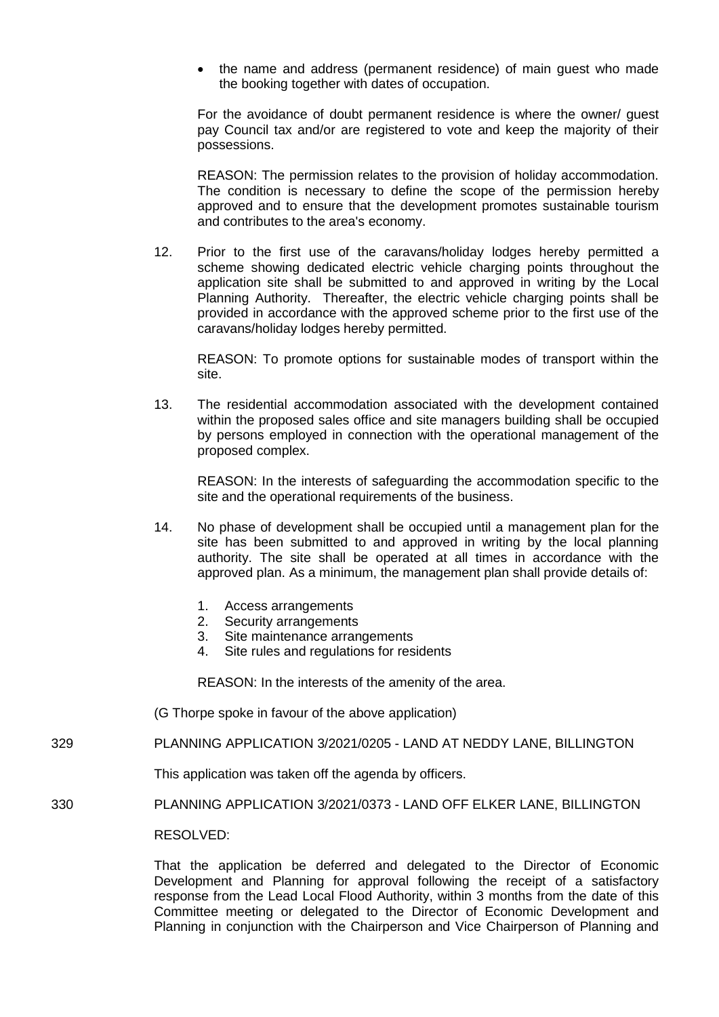the name and address (permanent residence) of main guest who made the booking together with dates of occupation.

For the avoidance of doubt permanent residence is where the owner/ guest pay Council tax and/or are registered to vote and keep the majority of their possessions.

REASON: The permission relates to the provision of holiday accommodation. The condition is necessary to define the scope of the permission hereby approved and to ensure that the development promotes sustainable tourism and contributes to the area's economy.

12. Prior to the first use of the caravans/holiday lodges hereby permitted a scheme showing dedicated electric vehicle charging points throughout the application site shall be submitted to and approved in writing by the Local Planning Authority. Thereafter, the electric vehicle charging points shall be provided in accordance with the approved scheme prior to the first use of the caravans/holiday lodges hereby permitted.

REASON: To promote options for sustainable modes of transport within the site.

13. The residential accommodation associated with the development contained within the proposed sales office and site managers building shall be occupied by persons employed in connection with the operational management of the proposed complex.

REASON: In the interests of safeguarding the accommodation specific to the site and the operational requirements of the business.

- 14. No phase of development shall be occupied until a management plan for the site has been submitted to and approved in writing by the local planning authority. The site shall be operated at all times in accordance with the approved plan. As a minimum, the management plan shall provide details of:
	- 1. Access arrangements
	- 2. Security arrangements
	- 3. Site maintenance arrangements
	- 4. Site rules and regulations for residents

REASON: In the interests of the amenity of the area.

- (G Thorpe spoke in favour of the above application)
- 329 PLANNING APPLICATION 3/2021/0205 LAND AT NEDDY LANE, BILLINGTON

This application was taken off the agenda by officers.

330 PLANNING APPLICATION 3/2021/0373 - LAND OFF ELKER LANE, BILLINGTON

RESOLVED:

That the application be deferred and delegated to the Director of Economic Development and Planning for approval following the receipt of a satisfactory response from the Lead Local Flood Authority, within 3 months from the date of this Committee meeting or delegated to the Director of Economic Development and Planning in conjunction with the Chairperson and Vice Chairperson of Planning and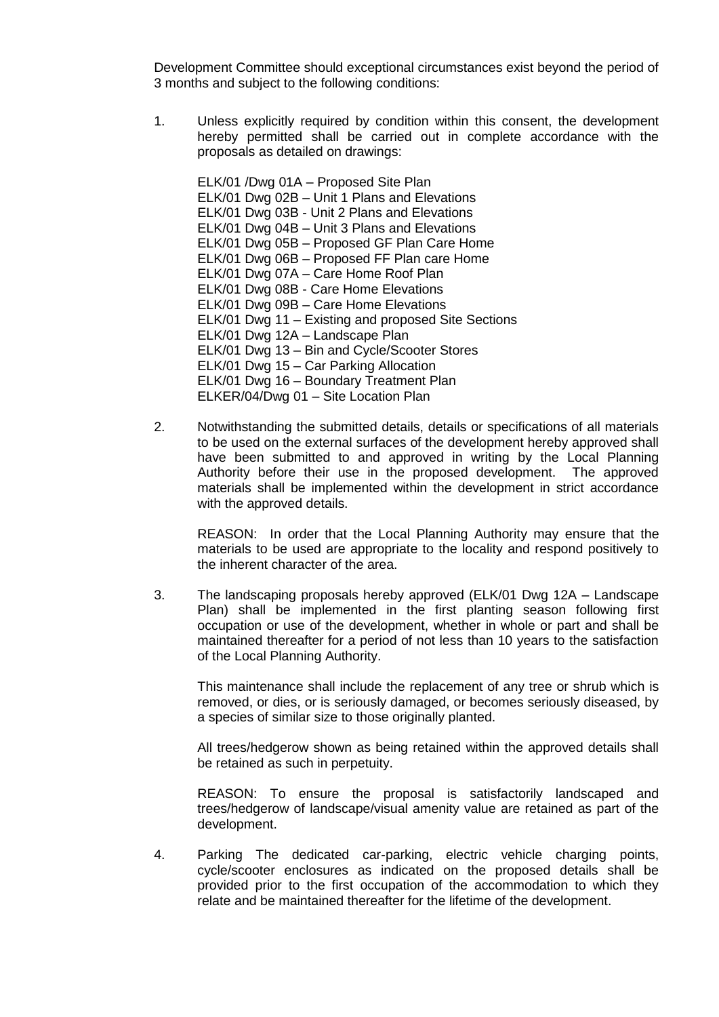Development Committee should exceptional circumstances exist beyond the period of 3 months and subject to the following conditions:

1. Unless explicitly required by condition within this consent, the development hereby permitted shall be carried out in complete accordance with the proposals as detailed on drawings:

ELK/01 /Dwg 01A – Proposed Site Plan ELK/01 Dwg 02B – Unit 1 Plans and Elevations ELK/01 Dwg 03B - Unit 2 Plans and Elevations ELK/01 Dwg 04B – Unit 3 Plans and Elevations ELK/01 Dwg 05B – Proposed GF Plan Care Home ELK/01 Dwg 06B – Proposed FF Plan care Home ELK/01 Dwg 07A – Care Home Roof Plan ELK/01 Dwg 08B - Care Home Elevations ELK/01 Dwg 09B – Care Home Elevations ELK/01 Dwg 11 – Existing and proposed Site Sections ELK/01 Dwg 12A – Landscape Plan ELK/01 Dwg 13 – Bin and Cycle/Scooter Stores ELK/01 Dwg 15 – Car Parking Allocation ELK/01 Dwg 16 – Boundary Treatment Plan ELKER/04/Dwg 01 – Site Location Plan

2. Notwithstanding the submitted details, details or specifications of all materials to be used on the external surfaces of the development hereby approved shall have been submitted to and approved in writing by the Local Planning Authority before their use in the proposed development. The approved materials shall be implemented within the development in strict accordance with the approved details.

REASON: In order that the Local Planning Authority may ensure that the materials to be used are appropriate to the locality and respond positively to the inherent character of the area.

3. The landscaping proposals hereby approved (ELK/01 Dwg 12A – Landscape Plan) shall be implemented in the first planting season following first occupation or use of the development, whether in whole or part and shall be maintained thereafter for a period of not less than 10 years to the satisfaction of the Local Planning Authority.

This maintenance shall include the replacement of any tree or shrub which is removed, or dies, or is seriously damaged, or becomes seriously diseased, by a species of similar size to those originally planted.

All trees/hedgerow shown as being retained within the approved details shall be retained as such in perpetuity.

REASON: To ensure the proposal is satisfactorily landscaped and trees/hedgerow of landscape/visual amenity value are retained as part of the development.

4. Parking The dedicated car-parking, electric vehicle charging points, cycle/scooter enclosures as indicated on the proposed details shall be provided prior to the first occupation of the accommodation to which they relate and be maintained thereafter for the lifetime of the development.